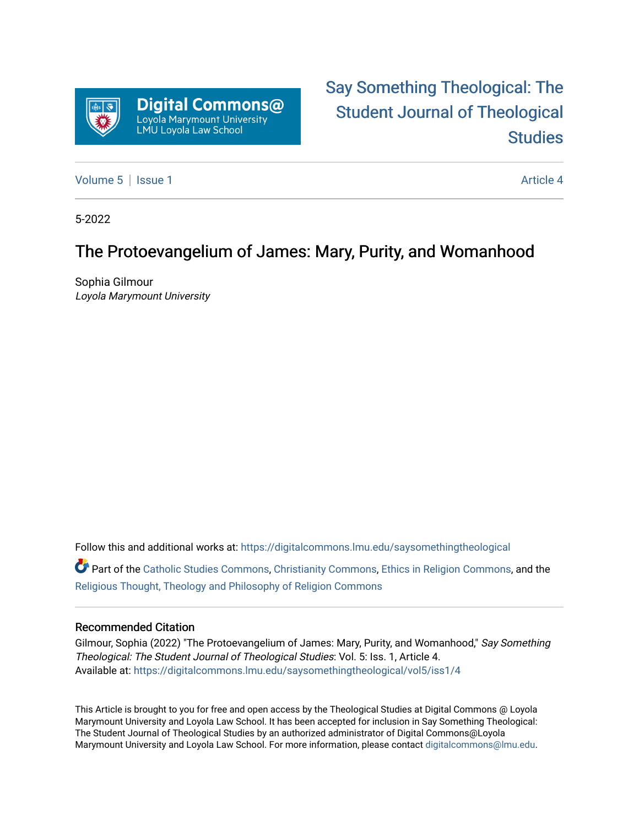

# [Say Something Theological: The](https://digitalcommons.lmu.edu/saysomethingtheological)  [Student Journal of Theological](https://digitalcommons.lmu.edu/saysomethingtheological)  **Studies**

[Volume 5](https://digitalcommons.lmu.edu/saysomethingtheological/vol5) | [Issue 1](https://digitalcommons.lmu.edu/saysomethingtheological/vol5/iss1) Article 4

5-2022

### The Protoevangelium of James: Mary, Purity, and Womanhood

Sophia Gilmour Loyola Marymount University

Follow this and additional works at: [https://digitalcommons.lmu.edu/saysomethingtheological](https://digitalcommons.lmu.edu/saysomethingtheological?utm_source=digitalcommons.lmu.edu%2Fsaysomethingtheological%2Fvol5%2Fiss1%2F4&utm_medium=PDF&utm_campaign=PDFCoverPages)

Part of the [Catholic Studies Commons](http://network.bepress.com/hgg/discipline/1294?utm_source=digitalcommons.lmu.edu%2Fsaysomethingtheological%2Fvol5%2Fiss1%2F4&utm_medium=PDF&utm_campaign=PDFCoverPages), [Christianity Commons](http://network.bepress.com/hgg/discipline/1181?utm_source=digitalcommons.lmu.edu%2Fsaysomethingtheological%2Fvol5%2Fiss1%2F4&utm_medium=PDF&utm_campaign=PDFCoverPages), [Ethics in Religion Commons,](http://network.bepress.com/hgg/discipline/541?utm_source=digitalcommons.lmu.edu%2Fsaysomethingtheological%2Fvol5%2Fiss1%2F4&utm_medium=PDF&utm_campaign=PDFCoverPages) and the [Religious Thought, Theology and Philosophy of Religion Commons](http://network.bepress.com/hgg/discipline/544?utm_source=digitalcommons.lmu.edu%2Fsaysomethingtheological%2Fvol5%2Fiss1%2F4&utm_medium=PDF&utm_campaign=PDFCoverPages) 

#### Recommended Citation

Gilmour, Sophia (2022) "The Protoevangelium of James: Mary, Purity, and Womanhood," Say Something Theological: The Student Journal of Theological Studies: Vol. 5: Iss. 1, Article 4. Available at: [https://digitalcommons.lmu.edu/saysomethingtheological/vol5/iss1/4](https://digitalcommons.lmu.edu/saysomethingtheological/vol5/iss1/4?utm_source=digitalcommons.lmu.edu%2Fsaysomethingtheological%2Fvol5%2Fiss1%2F4&utm_medium=PDF&utm_campaign=PDFCoverPages) 

This Article is brought to you for free and open access by the Theological Studies at Digital Commons @ Loyola Marymount University and Loyola Law School. It has been accepted for inclusion in Say Something Theological: The Student Journal of Theological Studies by an authorized administrator of Digital Commons@Loyola Marymount University and Loyola Law School. For more information, please contact [digitalcommons@lmu.edu](mailto:digitalcommons@lmu.edu).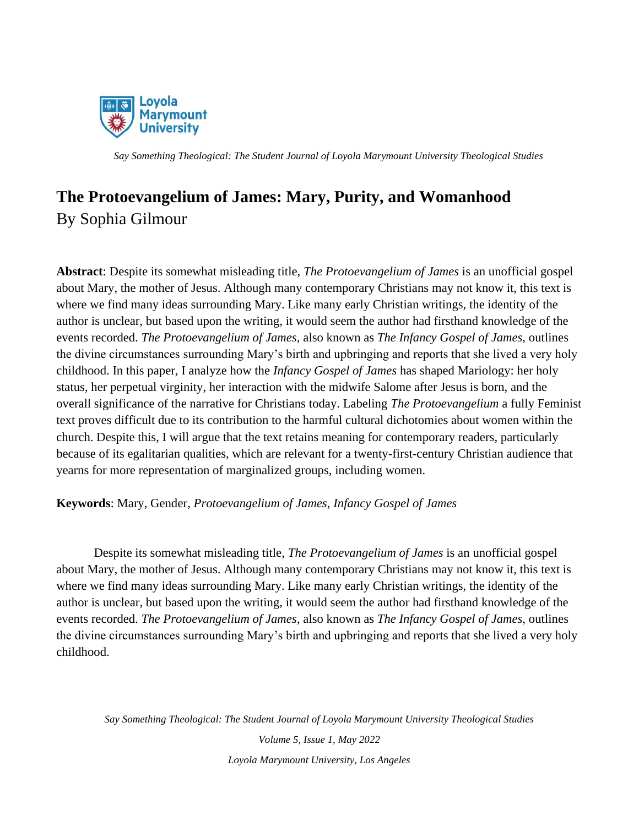

## **The Protoevangelium of James: Mary, Purity, and Womanhood** By Sophia Gilmour

**Abstract**: Despite its somewhat misleading title, *The Protoevangelium of James* is an unofficial gospel about Mary, the mother of Jesus. Although many contemporary Christians may not know it, this text is where we find many ideas surrounding Mary. Like many early Christian writings, the identity of the author is unclear, but based upon the writing, it would seem the author had firsthand knowledge of the events recorded. *The Protoevangelium of James,* also known as *The Infancy Gospel of James,* outlines the divine circumstances surrounding Mary's birth and upbringing and reports that she lived a very holy childhood. In this paper, I analyze how the *Infancy Gospel of James* has shaped Mariology: her holy status, her perpetual virginity, her interaction with the midwife Salome after Jesus is born, and the overall significance of the narrative for Christians today. Labeling *The Protoevangelium* a fully Feminist text proves difficult due to its contribution to the harmful cultural dichotomies about women within the church. Despite this, I will argue that the text retains meaning for contemporary readers, particularly because of its egalitarian qualities, which are relevant for a twenty-first-century Christian audience that yearns for more representation of marginalized groups, including women.

**Keywords**: Mary, Gender, *Protoevangelium of James*, *Infancy Gospel of James*

Despite its somewhat misleading title, *The Protoevangelium of James* is an unofficial gospel about Mary, the mother of Jesus. Although many contemporary Christians may not know it, this text is where we find many ideas surrounding Mary. Like many early Christian writings, the identity of the author is unclear, but based upon the writing, it would seem the author had firsthand knowledge of the events recorded. *The Protoevangelium of James,* also known as *The Infancy Gospel of James,* outlines the divine circumstances surrounding Mary's birth and upbringing and reports that she lived a very holy childhood.

*Say Something Theological: The Student Journal of Loyola Marymount University Theological Studies*

*Volume 5, Issue 1, May 2022 Loyola Marymount University, Los Angeles*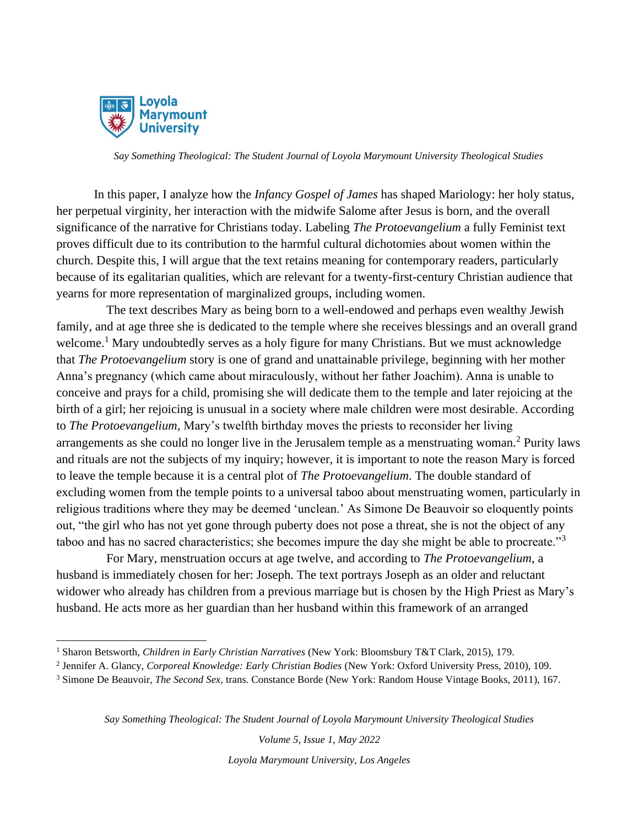

In this paper, I analyze how the *Infancy Gospel of James* has shaped Mariology: her holy status, her perpetual virginity, her interaction with the midwife Salome after Jesus is born, and the overall significance of the narrative for Christians today. Labeling *The Protoevangelium* a fully Feminist text proves difficult due to its contribution to the harmful cultural dichotomies about women within the church. Despite this, I will argue that the text retains meaning for contemporary readers, particularly because of its egalitarian qualities, which are relevant for a twenty-first-century Christian audience that yearns for more representation of marginalized groups, including women.

The text describes Mary as being born to a well-endowed and perhaps even wealthy Jewish family, and at age three she is dedicated to the temple where she receives blessings and an overall grand welcome.<sup>1</sup> Mary undoubtedly serves as a holy figure for many Christians. But we must acknowledge that *The Protoevangelium* story is one of grand and unattainable privilege, beginning with her mother Anna's pregnancy (which came about miraculously, without her father Joachim). Anna is unable to conceive and prays for a child, promising she will dedicate them to the temple and later rejoicing at the birth of a girl; her rejoicing is unusual in a society where male children were most desirable. According to *The Protoevangelium,* Mary's twelfth birthday moves the priests to reconsider her living arrangements as she could no longer live in the Jerusalem temple as a menstruating woman.<sup>2</sup> Purity laws and rituals are not the subjects of my inquiry; however, it is important to note the reason Mary is forced to leave the temple because it is a central plot of *The Protoevangelium*. The double standard of excluding women from the temple points to a universal taboo about menstruating women, particularly in religious traditions where they may be deemed 'unclean.' As Simone De Beauvoir so eloquently points out, "the girl who has not yet gone through puberty does not pose a threat, she is not the object of any taboo and has no sacred characteristics; she becomes impure the day she might be able to procreate."<sup>3</sup>

For Mary, menstruation occurs at age twelve, and according to *The Protoevangelium*, a husband is immediately chosen for her: Joseph. The text portrays Joseph as an older and reluctant widower who already has children from a previous marriage but is chosen by the High Priest as Mary's husband. He acts more as her guardian than her husband within this framework of an arranged

*Say Something Theological: The Student Journal of Loyola Marymount University Theological Studies*

*Volume 5, Issue 1, May 2022*

*Loyola Marymount University, Los Angeles*

<sup>1</sup> Sharon Betsworth, *Children in Early Christian Narratives* (New York: Bloomsbury T&T Clark, 2015), 179.

<sup>2</sup> Jennifer A. Glancy, *Corporeal Knowledge: Early Christian Bodies* (New York: Oxford University Press, 2010), 109.

<sup>3</sup> Simone De Beauvoir, *The Second Sex,* trans. Constance Borde (New York: Random House Vintage Books, 2011), 167.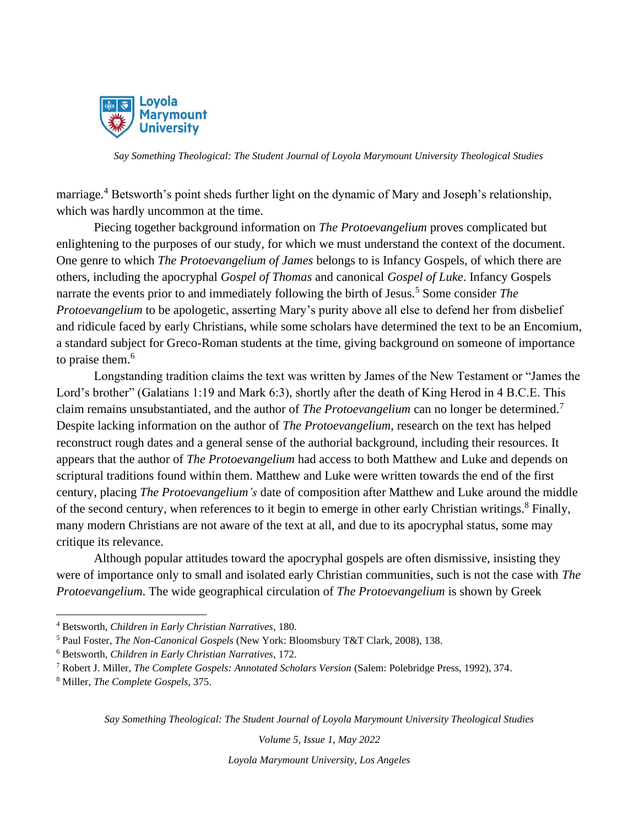

marriage.<sup>4</sup> Betsworth's point sheds further light on the dynamic of Mary and Joseph's relationship, which was hardly uncommon at the time.

Piecing together background information on *The Protoevangelium* proves complicated but enlightening to the purposes of our study, for which we must understand the context of the document. One genre to which *The Protoevangelium of James* belongs to is Infancy Gospels, of which there are others, including the apocryphal *Gospel of Thomas* and canonical *Gospel of Luke*. Infancy Gospels narrate the events prior to and immediately following the birth of Jesus.<sup>5</sup> Some consider *The Protoevangelium* to be apologetic, asserting Mary's purity above all else to defend her from disbelief and ridicule faced by early Christians, while some scholars have determined the text to be an Encomium, a standard subject for Greco-Roman students at the time, giving background on someone of importance to praise them.<sup>6</sup>

Longstanding tradition claims the text was written by James of the New Testament or "James the Lord's brother" (Galatians 1:19 and Mark 6:3), shortly after the death of King Herod in 4 B.C.E. This claim remains unsubstantiated, and the author of *The Protoevangelium* can no longer be determined.<sup>7</sup> Despite lacking information on the author of *The Protoevangelium*, research on the text has helped reconstruct rough dates and a general sense of the authorial background, including their resources. It appears that the author of *The Protoevangelium* had access to both Matthew and Luke and depends on scriptural traditions found within them. Matthew and Luke were written towards the end of the first century, placing *The Protoevangelium's* date of composition after Matthew and Luke around the middle of the second century, when references to it begin to emerge in other early Christian writings.<sup>8</sup> Finally, many modern Christians are not aware of the text at all, and due to its apocryphal status, some may critique its relevance.

Although popular attitudes toward the apocryphal gospels are often dismissive, insisting they were of importance only to small and isolated early Christian communities, such is not the case with *The Protoevangelium*. The wide geographical circulation of *The Protoevangelium* is shown by Greek

*Say Something Theological: The Student Journal of Loyola Marymount University Theological Studies*

*Volume 5, Issue 1, May 2022*

*Loyola Marymount University, Los Angeles*

<sup>4</sup> Betsworth, *Children in Early Christian Narratives*, 180.

<sup>5</sup> Paul Foster, *The Non-Canonical Gospels* (New York: Bloomsbury T&T Clark, 2008), 138.

<sup>6</sup> Betsworth, *Children in Early Christian Narratives*, 172.

<sup>7</sup> Robert J. Miller, *The Complete Gospels: Annotated Scholars Version* (Salem: Polebridge Press, 1992), 374.

<sup>8</sup> Miller, *The Complete Gospels*, 375.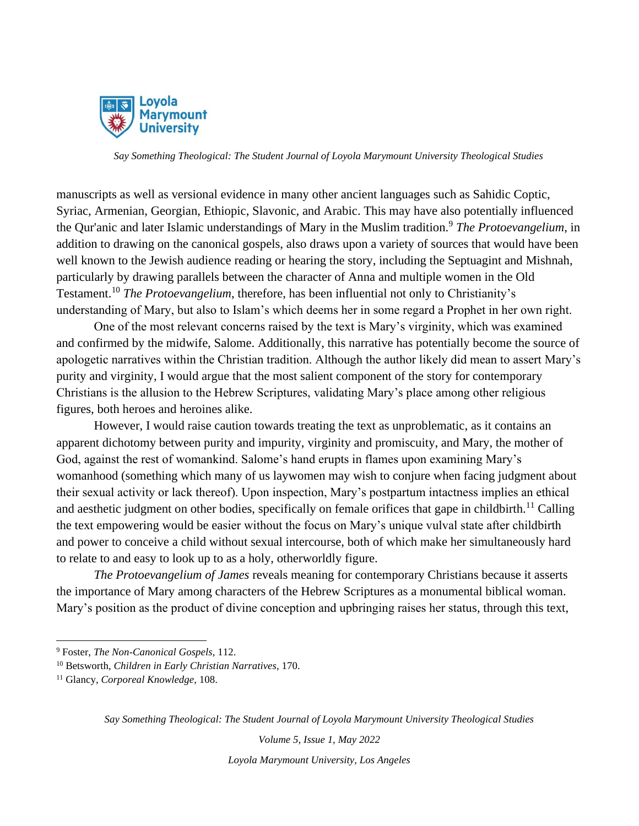

manuscripts as well as versional evidence in many other ancient languages such as Sahidic Coptic, Syriac, Armenian, Georgian, Ethiopic, Slavonic, and Arabic. This may have also potentially influenced the Qur'anic and later Islamic understandings of Mary in the Muslim tradition.<sup>9</sup> *The Protoevangelium*, in addition to drawing on the canonical gospels, also draws upon a variety of sources that would have been well known to the Jewish audience reading or hearing the story, including the Septuagint and Mishnah, particularly by drawing parallels between the character of Anna and multiple women in the Old Testament.<sup>10</sup> *The Protoevangelium*, therefore, has been influential not only to Christianity's understanding of Mary, but also to Islam's which deems her in some regard a Prophet in her own right.

One of the most relevant concerns raised by the text is Mary's virginity, which was examined and confirmed by the midwife, Salome. Additionally, this narrative has potentially become the source of apologetic narratives within the Christian tradition. Although the author likely did mean to assert Mary's purity and virginity, I would argue that the most salient component of the story for contemporary Christians is the allusion to the Hebrew Scriptures, validating Mary's place among other religious figures, both heroes and heroines alike.

However, I would raise caution towards treating the text as unproblematic, as it contains an apparent dichotomy between purity and impurity, virginity and promiscuity, and Mary, the mother of God, against the rest of womankind. Salome's hand erupts in flames upon examining Mary's womanhood (something which many of us laywomen may wish to conjure when facing judgment about their sexual activity or lack thereof). Upon inspection, Mary's postpartum intactness implies an ethical and aesthetic judgment on other bodies, specifically on female orifices that gape in childbirth.<sup>11</sup> Calling the text empowering would be easier without the focus on Mary's unique vulval state after childbirth and power to conceive a child without sexual intercourse, both of which make her simultaneously hard to relate to and easy to look up to as a holy, otherworldly figure.

*The Protoevangelium of James* reveals meaning for contemporary Christians because it asserts the importance of Mary among characters of the Hebrew Scriptures as a monumental biblical woman. Mary's position as the product of divine conception and upbringing raises her status, through this text,

*Say Something Theological: The Student Journal of Loyola Marymount University Theological Studies*

*Volume 5, Issue 1, May 2022*

*Loyola Marymount University, Los Angeles*

<sup>9</sup> Foster, *The Non-Canonical Gospels*, 112.

<sup>10</sup> Betsworth, *Children in Early Christian Narratives*, 170.

<sup>11</sup> Glancy, *Corporeal Knowledge*, 108.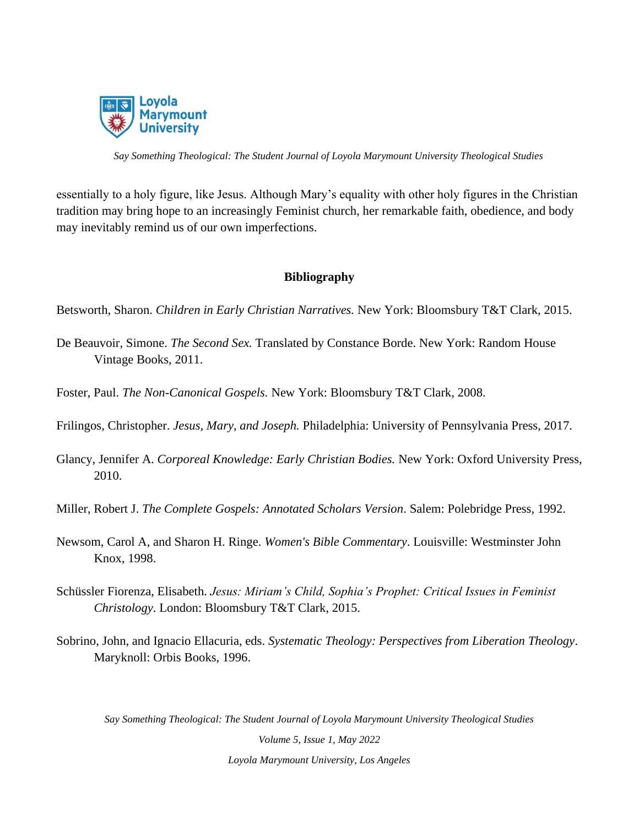

essentially to a holy figure, like Jesus. Although Mary's equality with other holy figures in the Christian tradition may bring hope to an increasingly Feminist church, her remarkable faith, obedience, and body may inevitably remind us of our own imperfections.

### **Bibliography**

Betsworth, Sharon. *Children in Early Christian Narratives.* New York: Bloomsbury T&T Clark, 2015.

- De Beauvoir, Simone. *The Second Sex.* Translated by Constance Borde. New York: Random House Vintage Books, 2011.
- Foster, Paul. *The Non-Canonical Gospels.* New York: Bloomsbury T&T Clark, 2008.
- Frilingos, Christopher. *Jesus, Mary, and Joseph.* Philadelphia: University of Pennsylvania Press, 2017.
- Glancy, Jennifer A. *Corporeal Knowledge: Early Christian Bodies.* New York: Oxford University Press, 2010.
- Miller, Robert J. *The Complete Gospels: Annotated Scholars Version*. Salem: Polebridge Press, 1992.
- Newsom, Carol A, and Sharon H. Ringe. *Women's Bible Commentary*. Louisville: Westminster John Knox, 1998.
- Schüssler Fiorenza, Elisabeth. *Jesus: Miriam's Child, Sophia's Prophet: Critical Issues in Feminist Christology*. London: Bloomsbury T&T Clark, 2015.
- Sobrino, John, and Ignacio Ellacuria, eds. *Systematic Theology: Perspectives from Liberation Theology*. Maryknoll: Orbis Books, 1996.

*Say Something Theological: The Student Journal of Loyola Marymount University Theological Studies*

*Volume 5, Issue 1, May 2022 Loyola Marymount University, Los Angeles*